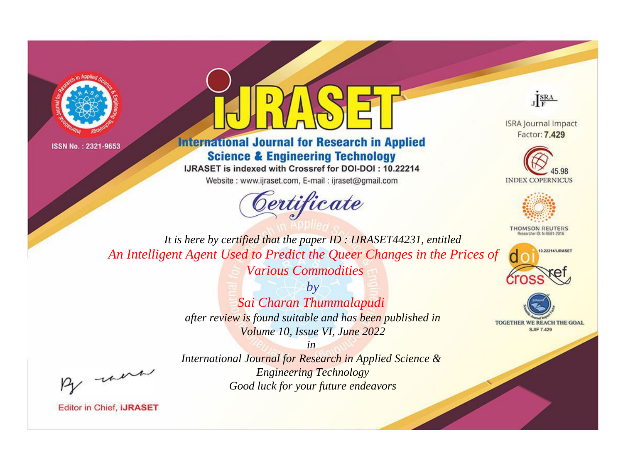



## **International Journal for Research in Applied Science & Engineering Technology**

IJRASET is indexed with Crossref for DOI-DOI: 10.22214

Website: www.ijraset.com, E-mail: ijraset@gmail.com





**ISRA Journal Impact** Factor: 7,429





**THOMSON REUTERS** 



TOGETHER WE REACH THE GOAL **SJIF 7.429** 

*It is here by certified that the paper ID : IJRASET44231, entitled An Intelligent Agent Used to Predict the Queer Changes in the Prices of Various Commodities*

> *by Sai Charan Thummalapudi after review is found suitable and has been published in Volume 10, Issue VI, June 2022*

- were

*International Journal for Research in Applied Science & Engineering Technology Good luck for your future endeavors*

*in*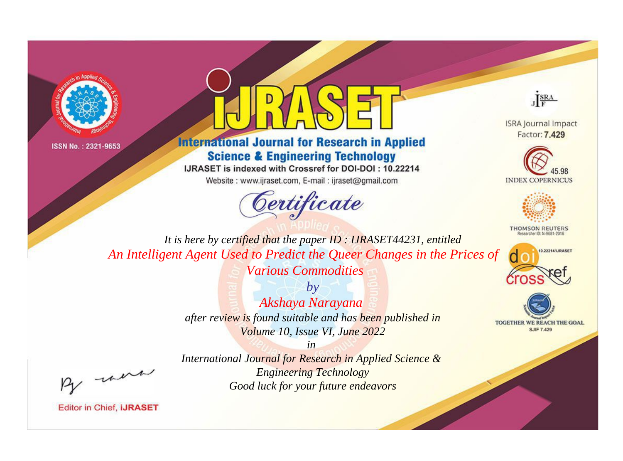



## **International Journal for Research in Applied Science & Engineering Technology**

IJRASET is indexed with Crossref for DOI-DOI: 10.22214

Website: www.ijraset.com, E-mail: ijraset@gmail.com





**ISRA Journal Impact** Factor: 7.429





**THOMSON REUTERS** 



TOGETHER WE REACH THE GOAL **SJIF 7.429** 

*It is here by certified that the paper ID : IJRASET44231, entitled An Intelligent Agent Used to Predict the Queer Changes in the Prices of Various Commodities*

> *by Akshaya Narayana after review is found suitable and has been published in Volume 10, Issue VI, June 2022*

were

*International Journal for Research in Applied Science & Engineering Technology Good luck for your future endeavors*

*in*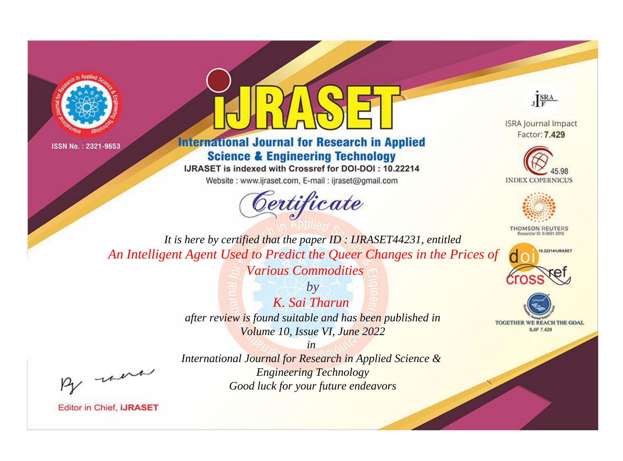



## **International Journal for Research in Applied Science & Engineering Technology**

IJRASET is indexed with Crossref for DOI-DOI: 10.22214

Website: www.ijraset.com, E-mail: ijraset@gmail.com



JERA

**ISRA Journal Impact** Factor: 7,429





**THOMSON REUTERS** 



TOGETHER WE REACH THE GOAL **SJIF 7.429** 

It is here by certified that the paper ID: IJRASET44231, entitled An Intelligent Agent Used to Predict the Queer Changes in the Prices of **Various Commodities** 

> $b\nu$ K. Sai Tharun after review is found suitable and has been published in Volume 10, Issue VI, June 2022

 $in$ International Journal for Research in Applied Science & **Engineering Technology** Good luck for your future endeavors

were